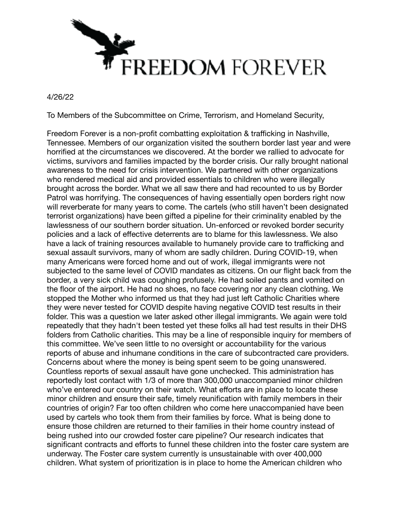

4/26/22

To Members of the Subcommittee on Crime, Terrorism, and Homeland Security,

Freedom Forever is a non-profit combatting exploitation & trafficking in Nashville, Tennessee. Members of our organization visited the southern border last year and were horrified at the circumstances we discovered. At the border we rallied to advocate for victims, survivors and families impacted by the border crisis. Our rally brought national awareness to the need for crisis intervention. We partnered with other organizations who rendered medical aid and provided essentials to children who were illegally brought across the border. What we all saw there and had recounted to us by Border Patrol was horrifying. The consequences of having essentially open borders right now will reverberate for many years to come. The cartels (who still haven't been designated terrorist organizations) have been gifted a pipeline for their criminality enabled by the lawlessness of our southern border situation. Un-enforced or revoked border security policies and a lack of effective deterrents are to blame for this lawlessness. We also have a lack of training resources available to humanely provide care to trafficking and sexual assault survivors, many of whom are sadly children. During COVID-19, when many Americans were forced home and out of work, illegal immigrants were not subjected to the same level of COVID mandates as citizens. On our flight back from the border, a very sick child was coughing profusely. He had soiled pants and vomited on the floor of the airport. He had no shoes, no face covering nor any clean clothing. We stopped the Mother who informed us that they had just left Catholic Charities where they were never tested for COVID despite having negative COVID test results in their folder. This was a question we later asked other illegal immigrants. We again were told repeatedly that they hadn't been tested yet these folks all had test results in their DHS folders from Catholic charities. This may be a line of responsible inquiry for members of this committee. We've seen little to no oversight or accountability for the various reports of abuse and inhumane conditions in the care of subcontracted care providers. Concerns about where the money is being spent seem to be going unanswered. Countless reports of sexual assault have gone unchecked. This administration has reportedly lost contact with 1/3 of more than 300,000 unaccompanied minor children who've entered our country on their watch. What efforts are in place to locate these minor children and ensure their safe, timely reunification with family members in their countries of origin? Far too often children who come here unaccompanied have been used by cartels who took them from their families by force. What is being done to ensure those children are returned to their families in their home country instead of being rushed into our crowded foster care pipeline? Our research indicates that significant contracts and efforts to funnel these children into the foster care system are underway. The Foster care system currently is unsustainable with over 400,000 children. What system of prioritization is in place to home the American children who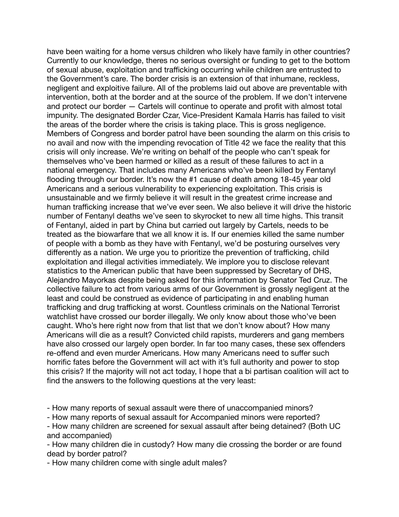have been waiting for a home versus children who likely have family in other countries? Currently to our knowledge, theres no serious oversight or funding to get to the bottom of sexual abuse, exploitation and trafficking occurring while children are entrusted to the Government's care. The border crisis is an extension of that inhumane, reckless, negligent and exploitive failure. All of the problems laid out above are preventable with intervention, both at the border and at the source of the problem. If we don't intervene and protect our border — Cartels will continue to operate and profit with almost total impunity. The designated Border Czar, Vice-President Kamala Harris has failed to visit the areas of the border where the crisis is taking place. This is gross negligence. Members of Congress and border patrol have been sounding the alarm on this crisis to no avail and now with the impending revocation of Title 42 we face the reality that this crisis will only increase. We're writing on behalf of the people who can't speak for themselves who've been harmed or killed as a result of these failures to act in a national emergency. That includes many Americans who've been killed by Fentanyl flooding through our border. It's now the #1 cause of death among 18-45 year old Americans and a serious vulnerability to experiencing exploitation. This crisis is unsustainable and we firmly believe it will result in the greatest crime increase and human trafficking increase that we've ever seen. We also believe it will drive the historic number of Fentanyl deaths we've seen to skyrocket to new all time highs. This transit of Fentanyl, aided in part by China but carried out largely by Cartels, needs to be treated as the biowarfare that we all know it is. If our enemies killed the same number of people with a bomb as they have with Fentanyl, we'd be posturing ourselves very differently as a nation. We urge you to prioritize the prevention of trafficking, child exploitation and illegal activities immediately. We implore you to disclose relevant statistics to the American public that have been suppressed by Secretary of DHS, Alejandro Mayorkas despite being asked for this information by Senator Ted Cruz. The collective failure to act from various arms of our Government is grossly negligent at the least and could be construed as evidence of participating in and enabling human trafficking and drug trafficking at worst. Countless criminals on the National Terrorist watchlist have crossed our border illegally. We only know about those who've been caught. Who's here right now from that list that we don't know about? How many Americans will die as a result? Convicted child rapists, murderers and gang members have also crossed our largely open border. In far too many cases, these sex offenders re-offend and even murder Americans. How many Americans need to suffer such horrific fates before the Government will act with it's full authority and power to stop this crisis? If the majority will not act today, I hope that a bi partisan coalition will act to find the answers to the following questions at the very least:

- How many reports of sexual assault were there of unaccompanied minors?

- How many reports of sexual assault for Accompanied minors were reported?

- How many children are screened for sexual assault after being detained? (Both UC and accompanied)

- How many children die in custody? How many die crossing the border or are found dead by border patrol?

- How many children come with single adult males?